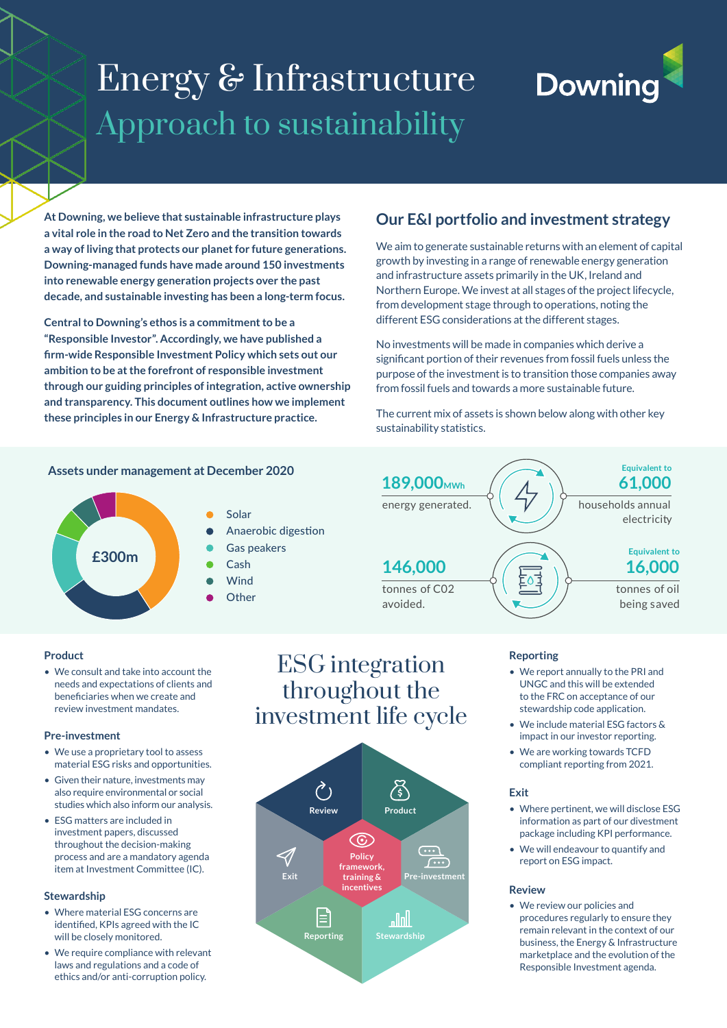# Energy & Infrastructure Approach to sustainability

# **Downing**

**At Downing, we believe that sustainable infrastructure plays a vital role in the road to Net Zero and the transition towards a way of living that protects our planet for future generations. Downing-managed funds have made around 150 investments into renewable energy generation projects over the past decade, and sustainable investing has been a long-term focus.**

**Central to Downing's ethos is a commitment to be a "Responsible Investor". Accordingly, we have published a firm-wide Responsible Investment Policy which sets out our ambition to be at the forefront of responsible investment through our guiding principles of integration, active ownership and transparency. This document outlines how we implement these principles in our Energy & Infrastructure practice.**

# **Our E&I portfolio and investment strategy**

We aim to generate sustainable returns with an element of capital growth by investing in a range of renewable energy generation and infrastructure assets primarily in the UK, Ireland and Northern Europe. We invest at all stages of the project lifecycle, from development stage through to operations, noting the different ESG considerations at the different stages.

No investments will be made in companies which derive a significant portion of their revenues from fossil fuels unless the purpose of the investment is to transition those companies away from fossil fuels and towards a more sustainable future.

The current mix of assets is shown below along with other key sustainability statistics.



### **Assets under management at December 2020**



**146,000**

energy generated. **189,000MWh**



## **Reporting**

• We report annually to the PRI and UNGC and this will be extended to the FRC on acceptance of our stewardship code application.

tonnes of oil being saved

electricity

**61,000 Equivalent to**

households annual

**16,000 Equivalent to**

- We include material ESG factors & impact in our investor reporting.
- We are working towards TCFD compliant reporting from 2021.

#### **Exit**

- Where pertinent, we will disclose ESG information as part of our divestment package including KPI performance.
- We will endeavour to quantify and report on ESG impact.

#### **Review**

• We review our policies and procedures regularly to ensure they remain relevant in the context of our business, the Energy & Infrastructure marketplace and the evolution of the Responsible Investment agenda.

#### • We consult and take into account the needs and expectations of clients and beneficiaries when we create and review investment mandates.

#### **Pre-investment**

**Product**

- We use a proprietary tool to assess material ESG risks and opportunities.
- Given their nature, investments may also require environmental or social studies which also inform our analysis.
- ESG matters are included in investment papers, discussed throughout the decision-making process and are a mandatory agenda item at Investment Committee (IC).

#### **Stewardship**

- Where material ESG concerns are identified, KPIs agreed with the IC will be closely monitored.
- We require compliance with relevant laws and regulations and a code of ethics and/or anti-corruption policy.